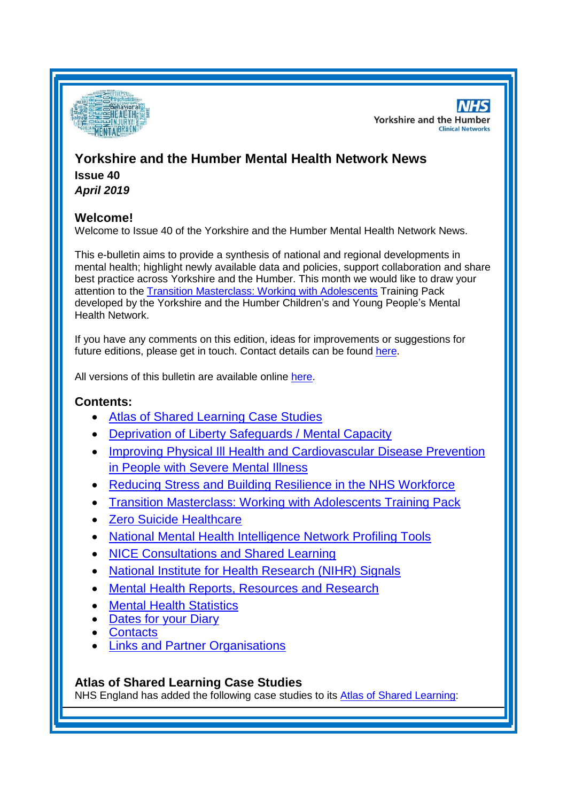

**NHS Yorkshire and the Humber Clinical Networks** 

# **Yorkshire and the Humber Mental Health Network News Issue 40**

*April 2019*

# **Welcome!**

Welcome to Issue 40 of the Yorkshire and the Humber Mental Health Network News.

This e-bulletin aims to provide a synthesis of national and regional developments in mental health; highlight newly available data and policies, support collaboration and share best practice across Yorkshire and the Humber. This month we would like to draw your attention to the [Transition Masterclass: Working with Adolescents](#page-1-0) Training Pack developed by the Yorkshire and the Humber Children's and Young People's Mental Health Network.

If you have any comments on this edition, ideas for improvements or suggestions for future editions, please get in touch. Contact details can be found [here.](#page-6-0)

All versions of this bulletin are available online [here.](http://www.yhscn.nhs.uk/mental-health-clinic/mental-health-network/MH-documents-and-links.php)

## **Contents:**

- [Atlas of Shared Learning Case Studies](#page-0-0)
- [Deprivation of Liberty Safeguards / Mental Capacity](#page-1-1)
- [Improving Physical Ill Health and Cardiovascular Disease Prevention](#page-1-2)  [in People with Severe Mental Illness](#page-1-2)
- [Reducing Stress and Building Resilience in the NHS Workforce](#page-1-3)
- [Transition Masterclass: Working with Adolescents Training Pack](#page-1-0)
- [Zero Suicide Healthcare](#page-2-0)
- [National Mental Health Intelligence Network Profiling Tools](#page-1-2)
- [NICE Consultations and Shared Learning](#page-2-1)
- [National Institute for Health Research \(NIHR\) Signals](#page-3-0)
- [Mental Health Reports, Resources and Research](#page-3-1)
- [Mental Health Statistics](#page-4-0)
- [Dates for your Diary](#page-4-1)
- [Contacts](#page-6-0)
- **[Links and Partner Organisations](#page-6-1)**

# <span id="page-0-0"></span>**Atlas of Shared Learning Case Studies**

NHS England has added the following case studies to its [Atlas of Shared](https://www.england.nhs.uk/leadingchange/atlas-of-shared-learning/) Learning: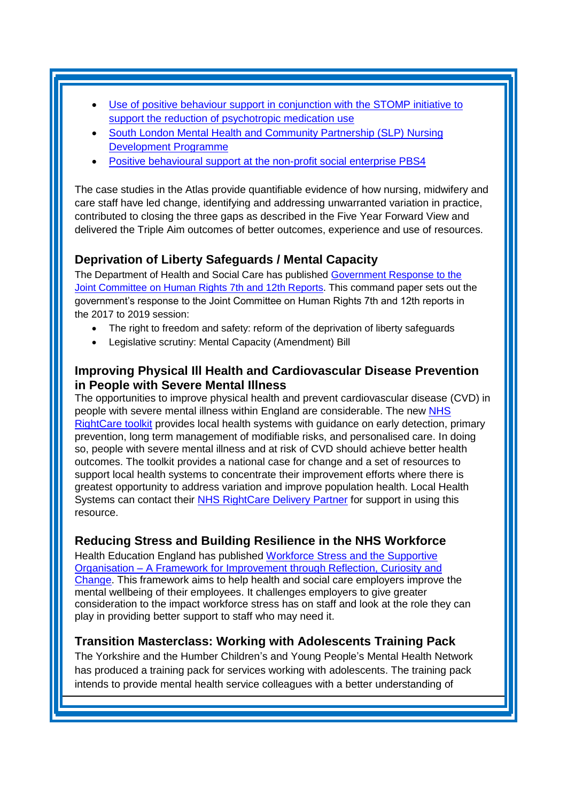- Use of positive behaviour support in conjunction with the STOMP initiative to [support the reduction of psychotropic medication use](https://www.england.nhs.uk/atlas_case_study/use-of-positive-behaviour-support-in-conjunction-with-the-stomp-initiative-to-support-the-reduction-of-psychotropic-medication-use/)
- [South London Mental Health and Community Partnership \(SLP\) Nursing](https://www.england.nhs.uk/atlas_case_study/south-london-mental-health-and-community-partnership-slp-nursing-development-programme/)  [Development Programme](https://www.england.nhs.uk/atlas_case_study/south-london-mental-health-and-community-partnership-slp-nursing-development-programme/)
- [Positive behavioural support at the non-profit social enterprise PBS4](https://www.england.nhs.uk/atlas_case_study/positive-behavioural-support-at-the-non-profit-social-enterprise-pbs4/)

The case studies in the Atlas provide quantifiable evidence of how nursing, midwifery and care staff have led change, identifying and addressing unwarranted variation in practice, contributed to closing the three gaps as described in the Five Year Forward View and delivered the Triple Aim outcomes of better outcomes, experience and use of resources.

# <span id="page-1-1"></span>**Deprivation of Liberty Safeguards / Mental Capacity**

The Department of Health and Social Care has published [Government Response to the](https://www.gov.uk/government/publications/government-response-to-the-joint-committee-on-human-rights-7th-and-12th-reports)  [Joint Committee on Human Rights 7th and 12th Reports.](https://www.gov.uk/government/publications/government-response-to-the-joint-committee-on-human-rights-7th-and-12th-reports) This command paper sets out the government's response to the Joint Committee on Human Rights 7th and 12th reports in the 2017 to 2019 session:

- The right to freedom and safety: reform of the deprivation of liberty safeguards
- Legislative scrutiny: Mental Capacity (Amendment) Bill

## <span id="page-1-2"></span>**Improving Physical Ill Health and Cardiovascular Disease Prevention in People with Severe Mental Illness**

The opportunities to improve physical health and prevent cardiovascular disease (CVD) in people with severe mental illness within England are considerable. The new [NHS](https://ccgbulletin.cmail19.com/t/d-l-pzdya-cdyegjt-b/)  [RightCare toolkit](https://ccgbulletin.cmail19.com/t/d-l-pzdya-cdyegjt-b/) provides local health systems with guidance on early detection, primary prevention, long term management of modifiable risks, and personalised care. In doing so, people with severe mental illness and at risk of CVD should achieve better health outcomes. The toolkit provides a national case for change and a set of resources to support local health systems to concentrate their improvement efforts where there is greatest opportunity to address variation and improve population health. Local Health Systems can contact their [NHS RightCare Delivery Partner](https://ccgbulletin.cmail19.com/t/d-l-pzdya-cdyegjt-n/) for support in using this resource.

# <span id="page-1-3"></span>**Reducing Stress and Building Resilience in the NHS Workforce**

Health Education England has published [Workforce Stress and the Supportive](https://www.hee.nhs.uk/news-blogs-events/news/meeting-challenge-reducing-stress-building-resilience-nhs-workforce) Organisation – [A Framework for Improvement through Reflection, Curiosity and](https://www.hee.nhs.uk/news-blogs-events/news/meeting-challenge-reducing-stress-building-resilience-nhs-workforce)  [Change.](https://www.hee.nhs.uk/news-blogs-events/news/meeting-challenge-reducing-stress-building-resilience-nhs-workforce) This framework aims to help health and social care employers improve the mental wellbeing of their employees. It challenges employers to give greater consideration to the impact workforce stress has on staff and look at the role they can play in providing better support to staff who may need it.

# <span id="page-1-0"></span>**Transition Masterclass: Working with Adolescents Training Pack**

The Yorkshire and the Humber Children's and Young People's Mental Health Network has produced a training pack for services working with adolescents. The training pack intends to provide mental health service colleagues with a better understanding of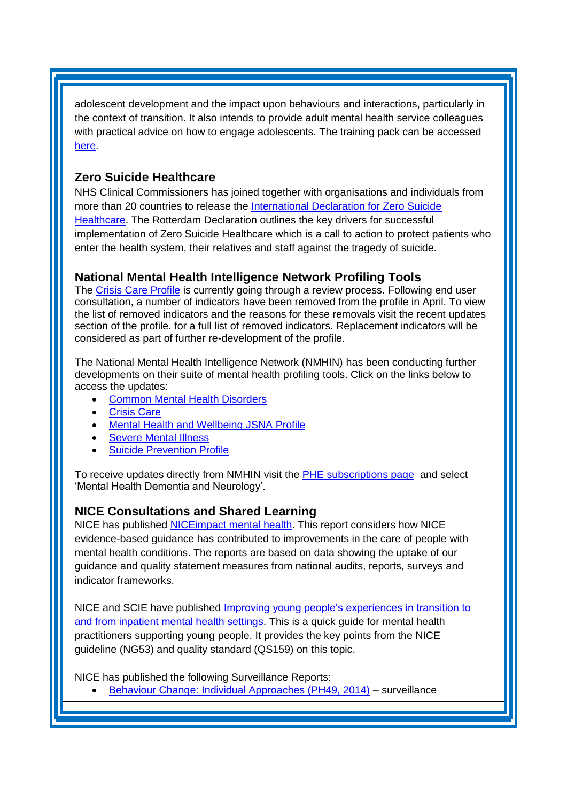adolescent development and the impact upon behaviours and interactions, particularly in the context of transition. It also intends to provide adult mental health service colleagues with practical advice on how to engage adolescents. The training pack can be accessed [here.](http://www.yhscn.nhs.uk/media/PDFs/children/Docs%20and%20Links/Transition-Masterclass-Working-With-Adolescents-TrainingPack.pdf)

# <span id="page-2-0"></span>**Zero Suicide Healthcare**

NHS Clinical Commissioners has joined together with organisations and individuals from more than 20 countries to release the [International Declaration for Zero Suicide](https://www.nhscc.org/latest-news/nhscc-joins-call-for/)  [Healthcare.](https://www.nhscc.org/latest-news/nhscc-joins-call-for/) The Rotterdam Declaration outlines the key drivers for successful implementation of Zero Suicide Healthcare which is a call to action to protect patients who enter the health system, their relatives and staff against the tragedy of suicide.

## **National Mental Health Intelligence Network Profiling Tools**

The [Crisis Care Profile](http://links.govdelivery.com/track?type=click&enid=ZWFzPTEmbXNpZD0mYXVpZD0mbWFpbGluZ2lkPTIwMTkwNDAyLjQwODkyNzEmbWVzc2FnZWlkPU1EQi1QUkQtQlVMLTIwMTkwNDAyLjQwODkyNzEmZGF0YWJhc2VpZD0xMDAxJnNlcmlhbD0xNzA5NzYyMyZlbWFpbGlkPXNhcmFoLmJvdWxAbmhzLm5ldCZ1c2VyaWQ9c2FyYWguYm91bEBuaHMubmV0JnRhcmdldGlkPSZmbD0mZXh0cmE9TXVsdGl2YXJpYXRlSWQ9JiYm&&&101&&&https://fingertips.phe.org.uk/profile-group/mental-health/profile/crisis-care) is currently going through a review process. Following end user consultation, a number of indicators have been removed from the profile in April. To view the list of removed indicators and the reasons for these removals visit the recent updates section of the profile. for a full list of removed indicators. Replacement indicators will be considered as part of further re-development of the profile.

The National Mental Health Intelligence Network (NMHIN) has been conducting further developments on their suite of mental health profiling tools. Click on the links below to access the updates:

- [Common Mental Health Disorders](http://links.govdelivery.com/track?type=click&enid=ZWFzPTEmbXNpZD0mYXVpZD0mbWFpbGluZ2lkPTIwMTcxMjA1LjgxOTE2MDgxJm1lc3NhZ2VpZD1NREItUFJELUJVTC0yMDE3MTIwNS44MTkxNjA4MSZkYXRhYmFzZWlkPTEwMDEmc2VyaWFsPTE2OTcwMTE4JmVtYWlsaWQ9c2FyYWguYm91bEBuaHMubmV0JnVzZXJpZD1zYXJhaC5ib3VsQG5ocy5uZXQmdGFyZ2V0aWQ9JmZsPSZleHRyYT1NdWx0aXZhcmlhdGVJZD0mJiY=&&&104&&&https://fingertips.phe.org.uk/profile-group/mental-health/profile/common-mental-disorders)
- **[Crisis Care](http://links.govdelivery.com/track?type=click&enid=ZWFzPTEmbXNpZD0mYXVpZD0mbWFpbGluZ2lkPTIwMTcxMjA1LjgxOTE2MDgxJm1lc3NhZ2VpZD1NREItUFJELUJVTC0yMDE3MTIwNS44MTkxNjA4MSZkYXRhYmFzZWlkPTEwMDEmc2VyaWFsPTE2OTcwMTE4JmVtYWlsaWQ9c2FyYWguYm91bEBuaHMubmV0JnVzZXJpZD1zYXJhaC5ib3VsQG5ocy5uZXQmdGFyZ2V0aWQ9JmZsPSZleHRyYT1NdWx0aXZhcmlhdGVJZD0mJiY=&&&105&&&https://fingertips.phe.org.uk/profile-group/mental-health/profile/crisis-care)**
- [Mental Health and Wellbeing JSNA Profile](http://links.govdelivery.com/track?type=click&enid=ZWFzPTEmbXNpZD0mYXVpZD0mbWFpbGluZ2lkPTIwMTcxMjA1LjgxOTE2MDgxJm1lc3NhZ2VpZD1NREItUFJELUJVTC0yMDE3MTIwNS44MTkxNjA4MSZkYXRhYmFzZWlkPTEwMDEmc2VyaWFsPTE2OTcwMTE4JmVtYWlsaWQ9c2FyYWguYm91bEBuaHMubmV0JnVzZXJpZD1zYXJhaC5ib3VsQG5ocy5uZXQmdGFyZ2V0aWQ9JmZsPSZleHRyYT1NdWx0aXZhcmlhdGVJZD0mJiY=&&&106&&&https://fingertips.phe.org.uk/profile-group/mental-health/profile/mh-jsna)
- [Severe Mental Illness](http://links.govdelivery.com/track?type=click&enid=ZWFzPTEmbXNpZD0mYXVpZD0mbWFpbGluZ2lkPTIwMTcxMjA1LjgxOTE2MDgxJm1lc3NhZ2VpZD1NREItUFJELUJVTC0yMDE3MTIwNS44MTkxNjA4MSZkYXRhYmFzZWlkPTEwMDEmc2VyaWFsPTE2OTcwMTE4JmVtYWlsaWQ9c2FyYWguYm91bEBuaHMubmV0JnVzZXJpZD1zYXJhaC5ib3VsQG5ocy5uZXQmdGFyZ2V0aWQ9JmZsPSZleHRyYT1NdWx0aXZhcmlhdGVJZD0mJiY=&&&108&&&https://fingertips.phe.org.uk/profile-group/mental-health/profile/severe-mental-illness)
- [Suicide Prevention Profile](http://links.govdelivery.com/track?type=click&enid=ZWFzPTEmbXNpZD0mYXVpZD0mbWFpbGluZ2lkPTIwMTgwNjA1LjkwNzEwNzExJm1lc3NhZ2VpZD1NREItUFJELUJVTC0yMDE4MDYwNS45MDcxMDcxMSZkYXRhYmFzZWlkPTEwMDEmc2VyaWFsPTE3MDEzODU4JmVtYWlsaWQ9c2FyYWguYm91bEBuaHMubmV0JnVzZXJpZD1zYXJhaC5ib3VsQG5ocy5uZXQmdGFyZ2V0aWQ9JmZsPSZleHRyYT1NdWx0aXZhcmlhdGVJZD0mJiY=&&&104&&&https://fingertips.phe.org.uk/profile-group/mental-health/profile/suicide)

To receive updates directly from NMHIN visit the [PHE subscriptions page](http://links.govdelivery.com/track?type=click&enid=ZWFzPTEmbXNpZD0mYXVpZD0mbWFpbGluZ2lkPTIwMTgwMjA3Ljg0OTY1MzgxJm1lc3NhZ2VpZD1NREItUFJELUJVTC0yMDE4MDIwNy44NDk2NTM4MSZkYXRhYmFzZWlkPTEwMDEmc2VyaWFsPTE2OTgzNDk5JmVtYWlsaWQ9c2FyYWguYm91bEBuaHMubmV0JnVzZXJpZD1zYXJhaC5ib3VsQG5ocy5uZXQmdGFyZ2V0aWQ9JmZsPSZleHRyYT1NdWx0aXZhcmlhdGVJZD0mJiY=&&&107&&&https://public.govdelivery.com/accounts/UKHPA/subscribers/new?preferences=true) and select 'Mental Health Dementia and Neurology'.

## <span id="page-2-1"></span>**NICE Consultations and Shared Learning**

NICE has published **NICE**impact mental health. This report considers how NICE evidence-based guidance has contributed to improvements in the care of people with mental health conditions. The reports are based on data showing the uptake of our guidance and quality statement measures from national audits, reports, surveys and indicator frameworks.

NICE and SCIE have published [Improving young people's experiences in transition to](https://www.nice.org.uk/about/nice-communities/social-care/quick-guides/improving-young-people-s-experiences-in-transition-to-and-from-inpatient-mental-health-settings) [and from inpatient mental health settings.](https://www.nice.org.uk/about/nice-communities/social-care/quick-guides/improving-young-people-s-experiences-in-transition-to-and-from-inpatient-mental-health-settings) This is a quick guide for mental health practitioners supporting young people. It provides the key points from the NICE guideline (NG53) and quality standard (QS159) on this topic.

NICE has published the following Surveillance Reports:

• [Behaviour Change: Individual Approaches \(PH49, 2014\)](https://www.nice.org.uk/guidance/ph49/resources/2019-exceptional-surveillance-of-behaviour-change-individual-approaches-nice-guideline-ph49-6716978749/chapter/Surveillance-decision?tab=evidence&utm_source=Surveillance+report+alerts&utm_campaign=5dbf26114e-EMAIL_CAMPAIGN_2019_04_08_09_38&utm_medium=email&utm_term=0_e232b91fb2-5dbf26114e-169540553) – surveillance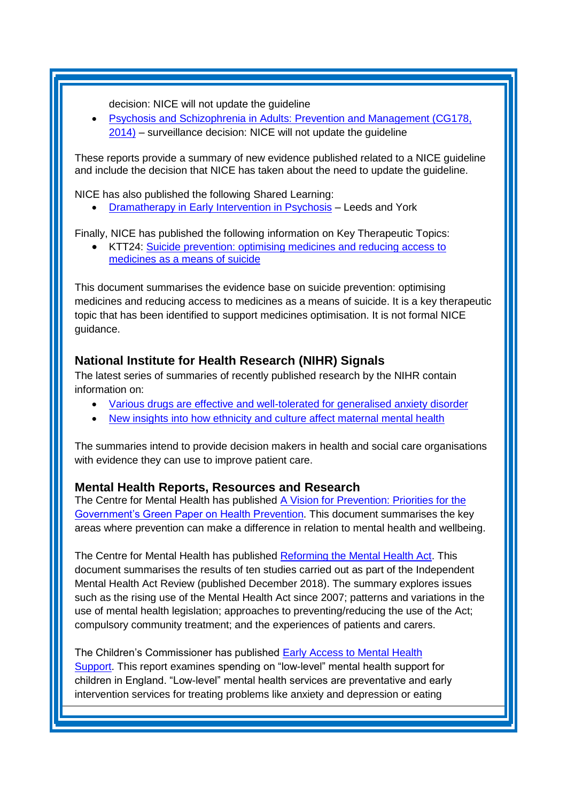decision: NICE will not update the guideline

• [Psychosis and Schizophrenia in Adults: Prevention and Management \(CG178,](https://www.nice.org.uk/guidance/cg178/resources/2019-exceptional-surveillance-of-psychosis-and-schizophrenia-in-adults-prevention-and-management-nice-guideline-cg178-6718794445/chapter/Surveillance-decision?tab=evidence&utm_source=Surveillance+report+alerts&utm_campaign=5dbf26114e-EMAIL_CAMPAIGN_2019_04_08_09_38&utm_medium=email&utm_term=0_e232b91fb2-5dbf26114e-169540553)  [2014\)](https://www.nice.org.uk/guidance/cg178/resources/2019-exceptional-surveillance-of-psychosis-and-schizophrenia-in-adults-prevention-and-management-nice-guideline-cg178-6718794445/chapter/Surveillance-decision?tab=evidence&utm_source=Surveillance+report+alerts&utm_campaign=5dbf26114e-EMAIL_CAMPAIGN_2019_04_08_09_38&utm_medium=email&utm_term=0_e232b91fb2-5dbf26114e-169540553) – surveillance decision: NICE will not update the guideline

These reports provide a summary of new evidence published related to a NICE guideline and include the decision that NICE has taken about the need to update the guideline.

NICE has also published the following Shared Learning:

• Dramatherapy in Early [Intervention in Psychosis](https://www.nice.org.uk/sharedlearning/dramatherapy-in-early-intervention-in-psychosis) – Leeds and York

Finally, NICE has published the following information on Key Therapeutic Topics:

• KTT24: [Suicide prevention: optimising medicines and reducing access to](https://www.nice.org.uk/advice/ktt24)  [medicines as a means of suicide](https://www.nice.org.uk/advice/ktt24)

<span id="page-3-0"></span>This document summarises the evidence base on suicide prevention: optimising medicines and reducing access to medicines as a means of suicide. It is a key therapeutic topic that has been identified to support medicines optimisation. It is not formal NICE guidance.

#### **National Institute for Health Research (NIHR) Signals**

The latest series of summaries of recently published research by the NIHR contain information on:

- [Various drugs are effective and well-tolerated for generalised anxiety disorder](https://discover.dc.nihr.ac.uk/content/signal-000754/generalised-anxiety-disorder-medications-reviewed)
- [New insights into how ethnicity and culture affect maternal mental health](https://discover.dc.nihr.ac.uk/content/signal-000762/maternal-mental-health-ethnicity-and-culture)

The summaries intend to provide decision makers in health and social care organisations with evidence they can use to improve patient care.

#### <span id="page-3-1"></span>**Mental Health Reports, Resources and Research**

The Centre for Mental Health has published A Vision for Prevention: Priorities for the [Government's Green Paper on Health Prevention.](https://www.centreformentalhealth.org.uk/vision-prevention) This document summarises the key areas where prevention can make a difference in relation to mental health and wellbeing.

The Centre for Mental Health has published [Reforming the Mental Health Act.](https://www.centreformentalhealth.org.uk/reforming-mental-health-act) This document summarises the results of ten studies carried out as part of the Independent Mental Health Act Review (published December 2018). The summary explores issues such as the rising use of the Mental Health Act since 2007; patterns and variations in the use of mental health legislation; approaches to preventing/reducing the use of the Act; compulsory community treatment; and the experiences of patients and carers.

The Children's Commissioner has published [Early Access to Mental Health](https://www.childrenscommissioner.gov.uk/publication/early-access-to-mental-health-support/)  [Support.](https://www.childrenscommissioner.gov.uk/publication/early-access-to-mental-health-support/) This report examines spending on "low-level" mental health support for children in England. "Low-level" mental health services are preventative and early intervention services for treating problems like anxiety and depression or eating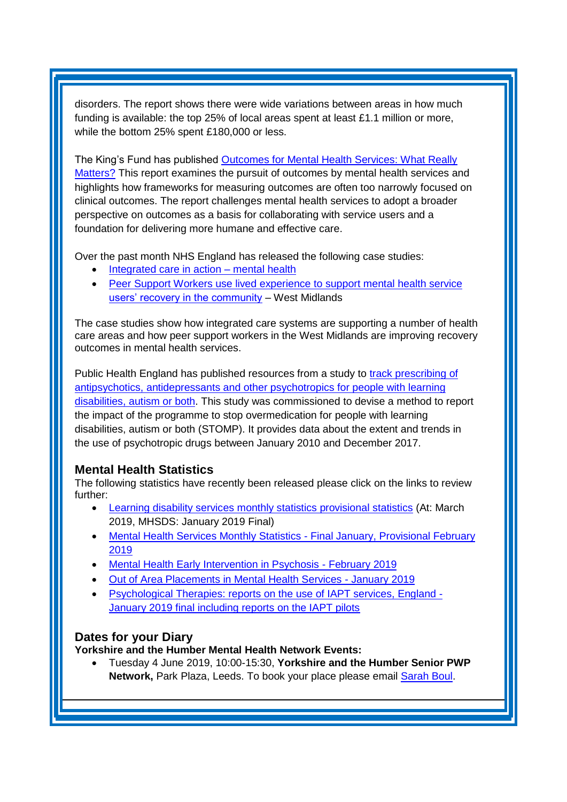disorders. The report shows there were wide variations between areas in how much funding is available: the top 25% of local areas spent at least £1.1 million or more, while the bottom 25% spent £180,000 or less.

The King's Fund has published [Outcomes for Mental Health Services: What Really](https://www.kingsfund.org.uk/publications/outcomes-mental-health-services)  [Matters?](https://www.kingsfund.org.uk/publications/outcomes-mental-health-services) This report examines the pursuit of outcomes by mental health services and highlights how frameworks for measuring outcomes are often too narrowly focused on clinical outcomes. The report challenges mental health services to adopt a broader perspective on outcomes as a basis for collaborating with service users and a foundation for delivering more humane and effective care.

Over the past month NHS England has released the following case studies:

- [Integrated care in action –](https://www.england.nhs.uk/publication/integrated-care-in-action-mental-health/) mental health
- Peer Support Workers use lived experience to support mental health service [users' recovery in the community](https://www.england.nhs.uk/publication/peer-support-workers-use-lived-experience-to-support-mental-health-service-users-recovery-in-the-community/) – West Midlands

The case studies show how integrated care systems are supporting a number of health care areas and how peer support workers in the West Midlands are improving recovery outcomes in mental health services.

Public Health England has published resources from a study to [track prescribing of](https://www.gov.uk/government/publications/psychotropic-drugs-and-people-with-learning-disabilities-or-autism)  [antipsychotics, antidepressants and other psychotropics for people with learning](https://www.gov.uk/government/publications/psychotropic-drugs-and-people-with-learning-disabilities-or-autism)  [disabilities, autism or both.](https://www.gov.uk/government/publications/psychotropic-drugs-and-people-with-learning-disabilities-or-autism) This study was commissioned to devise a method to report the impact of the programme to stop overmedication for people with learning disabilities, autism or both (STOMP). It provides data about the extent and trends in the use of psychotropic drugs between January 2010 and December 2017.

## <span id="page-4-0"></span>**Mental Health Statistics**

The following statistics have recently been released please click on the links to review further:

- <span id="page-4-1"></span>• [Learning disability services monthly statistics provisional statistics](https://digital.nhs.uk/data-and-information/publications/statistical/learning-disability-services-statistics/provisional-statistics-at-march-2019-mhsds-january-2019-final) (At: March 2019, MHSDS: January 2019 Final)
- [Mental Health Services Monthly Statistics](https://digital.nhs.uk/data-and-information/publications/statistical/mental-health-services-monthly-statistics/final-january-provisional-february-2019) Final January, Provisional February 2019
- **[Mental Health Early Intervention in Psychosis](https://www.gov.uk/government/statistics/mental-health-early-intervention-in-psychosis-for-february-2019) February 2019**
- [Out of Area Placements in Mental Health Services](https://digital.nhs.uk/data-and-information/publications/statistical/out-of-area-placements-in-mental-health-services/january-2019) January 2019
- [Psychological Therapies: reports on the use of IAPT services, England](https://digital.nhs.uk/data-and-information/publications/statistical/psychological-therapies-report-on-the-use-of-iapt-services/january-2019-final-including-reports-on-the-iapt-pilots) January 2019 final including reports on the IAPT pilots

# **Dates for your Diary**

**Yorkshire and the Humber Mental Health Network Events:**

• Tuesday 4 June 2019, 10:00-15:30, **Yorkshire and the Humber Senior PWP Network,** Park Plaza, Leeds. To book your place please email [Sarah Boul.](mailto:sarah.boul@nhs.net)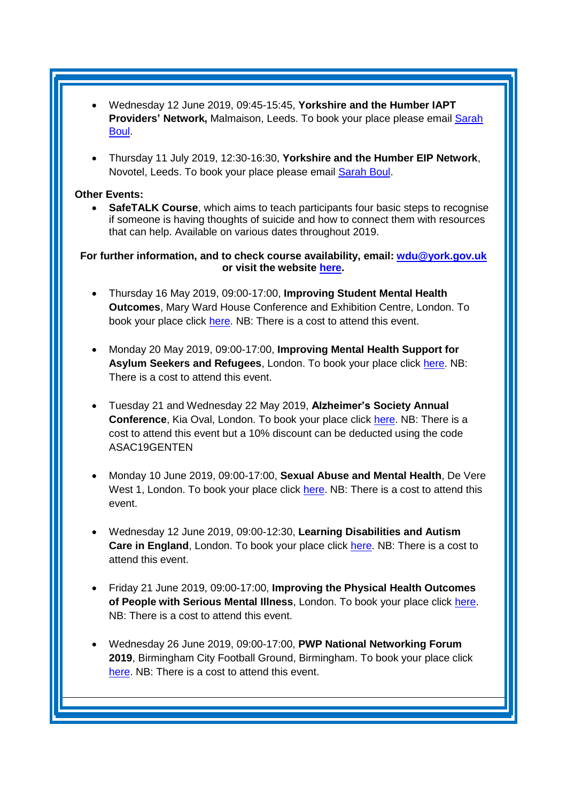- Wednesday 12 June 2019, 09:45-15:45, **Yorkshire and the Humber IAPT Providers' Network, Malmaison, Leeds. To book your place please email <b>Sarah** [Boul.](mailto:sarah.boul@nhs.net)
- Thursday 11 July 2019, 12:30-16:30, **Yorkshire and the Humber EIP Network**, Novotel, Leeds. To book your place please email [Sarah Boul.](mailto:sarah.boul@nhs.net)

#### **Other Events:**

• **SafeTALK Course**, which aims to teach participants four basic steps to recognise if someone is having thoughts of suicide and how to connect them with resources that can help. Available on various dates throughout 2019.

**For further information, and to check course availability, email: [wdu@york.gov.uk](mailto:wdu@york.gov.uk) or visit the website [here.](http://www.yorkworkforcedevelopment.org.uk/)**

- Thursday 16 May 2019, 09:00-17:00, **Improving Student Mental Health Outcomes**, Mary Ward House Conference and Exhibition Centre, London. To book your place click [here.](https://openforumevents.co.uk/events/2019/improving-student-mental-health-outcomes/#book?utm_source=OFE+S3.1+ISMHO19+BOOST+27.02.2019&utm_medium=email&utm_campaign=OFE+S3.1+ISMHO19+BOOST+27.02.2019) NB: There is a cost to attend this event.
- Monday 20 May 2019, 09:00-17:00, **Improving Mental Health Support for Asylum Seekers and Refugees**, London. To book your place click [here.](https://www.healthcareconferencesuk.co.uk/event/1209/book) NB: There is a cost to attend this event.
- Tuesday 21 and Wednesday 22 May 2019, **Alzheimer's Society Annual Conference**, Kia Oval, London. To book your place click [here.](https://www.cvent.com/events/alzheimer-s-society-annual-conference-2019/registration-7da8e58beb5b4189b0d4c3eb6534efd0.aspx?_ga=2.181597159.1797356724.1553617165-1198774166.1553617165&fqp=true) NB: There is a cost to attend this event but a 10% discount can be deducted using the code ASAC19GENTEN
- Monday 10 June 2019, 09:00-17:00, **Sexual Abuse and Mental Health**, De Vere West 1, London. To book your place click [here.](https://www.healthcareconferencesuk.co.uk/event/1235/book) NB: There is a cost to attend this event.
- Wednesday 12 June 2019, 09:00-12:30, **Learning Disabilities and Autism Care in England**, London. To book your place click [here.](https://www.westminsterforumprojects.co.uk/book/learning-disabilities-and-autism-19) NB: There is a cost to attend this event.
- Friday 21 June 2019, 09:00-17:00, **Improving the Physical Health Outcomes of People with Serious Mental Illness**, London. To book your place click [here.](https://www.healthcareconferencesuk.co.uk/event/1391/book) NB: There is a cost to attend this event.
- Wednesday 26 June 2019, 09:00-17:00, **PWP National Networking Forum 2019**, Birmingham City Football Ground, Birmingham. To book your place click [here.](http://www.iapt-nnf.co.uk/Home/ViewEvent/106?utm_source=SBK%20Healthcare&utm_medium=email&utm_campaign=10284030_1950PT%202nd%20email&dm_i=1SB0,64F7I,MCTTTA,O26GZ,1) NB: There is a cost to attend this event.